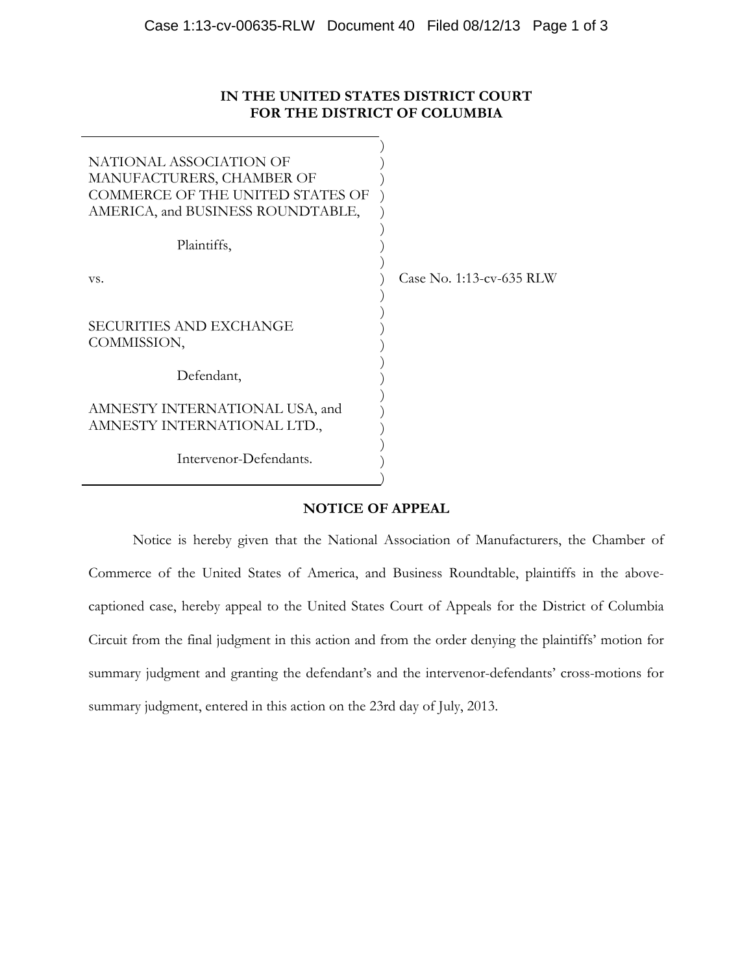## **IN THE UNITED STATES DISTRICT COURT FOR THE DISTRICT OF COLUMBIA**

| NATIONAL ASSOCIATION OF<br>MANUFACTURERS, CHAMBER OF<br>COMMERCE OF THE UNITED STATES OF<br>AMERICA, and BUSINESS ROUNDTABLE, |                          |
|-------------------------------------------------------------------------------------------------------------------------------|--------------------------|
| Plaintiffs,                                                                                                                   |                          |
| VS.                                                                                                                           | Case No. 1:13-cv-635 RLW |
| <b>SECURITIES AND EXCHANGE</b><br>COMMISSION,                                                                                 |                          |
| Defendant,                                                                                                                    |                          |
| AMNESTY INTERNATIONAL USA, and<br>AMNESTY INTERNATIONAL LTD.,                                                                 |                          |
| Intervenor-Defendants.                                                                                                        |                          |

## **NOTICE OF APPEAL**

Notice is hereby given that the National Association of Manufacturers, the Chamber of Commerce of the United States of America, and Business Roundtable, plaintiffs in the abovecaptioned case, hereby appeal to the United States Court of Appeals for the District of Columbia Circuit from the final judgment in this action and from the order denying the plaintiffs' motion for summary judgment and granting the defendant's and the intervenor-defendants' cross-motions for summary judgment, entered in this action on the 23rd day of July, 2013.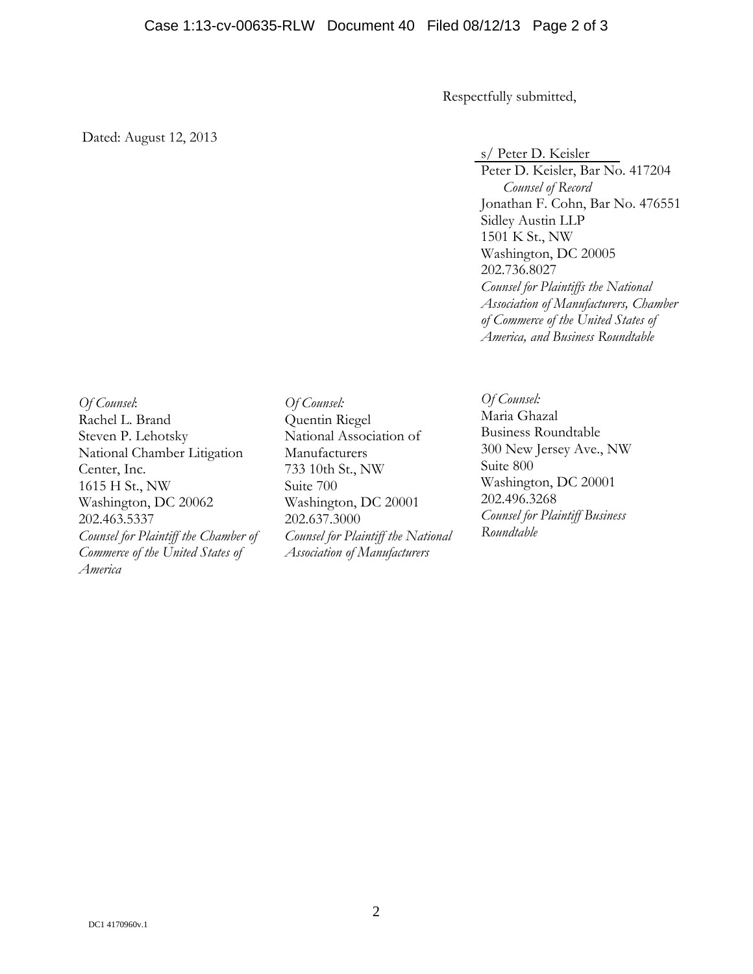Respectfully submitted,

Dated: August 12, 2013

s/ Peter D. Keisler

Peter D. Keisler, Bar No. 417204 *Counsel of Record*  Jonathan F. Cohn, Bar No. 476551 Sidley Austin LLP 1501 K St., NW Washington, DC 20005 202.736.8027 *Counsel for Plaintiffs the National Association of Manufacturers, Chamber of Commerce of the United States of America, and Business Roundtable* 

*Of Counsel*: Rachel L. Brand Steven P. Lehotsky National Chamber Litigation Center, Inc. 1615 H St., NW Washington, DC 20062 202.463.5337 *Counsel for Plaintiff the Chamber of Commerce of the United States of America* 

*Of Counsel:*  Quentin Riegel National Association of Manufacturers 733 10th St., NW Suite 700 Washington, DC 20001 202.637.3000 *Counsel for Plaintiff the National Association of Manufacturers* 

*Of Counsel:*  Maria Ghazal Business Roundtable 300 New Jersey Ave., NW Suite 800 Washington, DC 20001 202.496.3268 *Counsel for Plaintiff Business Roundtable*